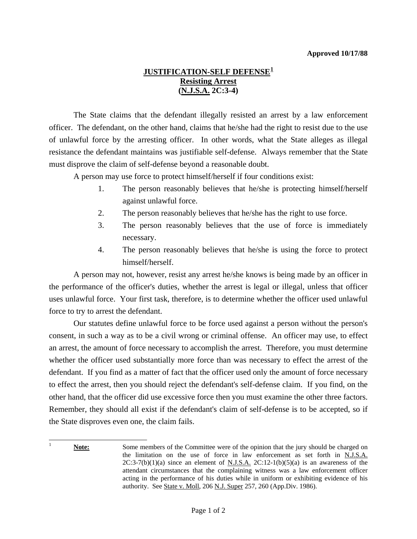## **JUSTIFICATION-SELF DEFENSE[1](#page-0-0) Resisting Arrest (N.J.S.A. 2C:3-4)**

 The State claims that the defendant illegally resisted an arrest by a law enforcement officer. The defendant, on the other hand, claims that he/she had the right to resist due to the use of unlawful force by the arresting officer. In other words, what the State alleges as illegal resistance the defendant maintains was justifiable self-defense. Always remember that the State must disprove the claim of self-defense beyond a reasonable doubt.

A person may use force to protect himself/herself if four conditions exist:

- 1. The person reasonably believes that he/she is protecting himself/herself against unlawful force.
- 2. The person reasonably believes that he/she has the right to use force.
- 3. The person reasonably believes that the use of force is immediately necessary.
- 4. The person reasonably believes that he/she is using the force to protect himself/herself.

 A person may not, however, resist any arrest he/she knows is being made by an officer in the performance of the officer's duties, whether the arrest is legal or illegal, unless that officer uses unlawful force. Your first task, therefore, is to determine whether the officer used unlawful force to try to arrest the defendant.

 Our statutes define unlawful force to be force used against a person without the person's consent, in such a way as to be a civil wrong or criminal offense. An officer may use, to effect an arrest, the amount of force necessary to accomplish the arrest. Therefore, you must determine whether the officer used substantially more force than was necessary to effect the arrest of the defendant. If you find as a matter of fact that the officer used only the amount of force necessary to effect the arrest, then you should reject the defendant's self-defense claim. If you find, on the other hand, that the officer did use excessive force then you must examine the other three factors. Remember, they should all exist if the defendant's claim of self-defense is to be accepted, so if the State disproves even one, the claim fails.

<span id="page-0-0"></span>l 1 **Note:** Some members of the Committee were of the opinion that the jury should be charged on the limitation on the use of force in law enforcement as set forth in N.J.S.A.  $2C:3-7(b)(1)(a)$  since an element of N.J.S.A.  $2C:12-1(b)(5)(a)$  is an awareness of the attendant circumstances that the complaining witness was a law enforcement officer acting in the performance of his duties while in uniform or exhibiting evidence of his authority. See State v. Moll, 206 N.J. Super 257, 260 (App.Div. 1986).